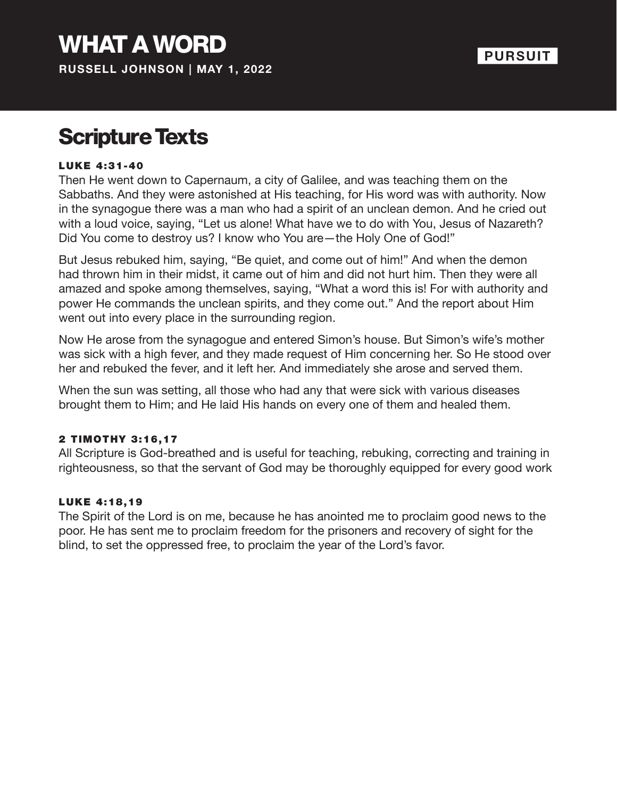## Scripture Texts

#### LUKE 4:31-40

Then He went down to Capernaum, a city of Galilee, and was teaching them on the Sabbaths. And they were astonished at His teaching, for His word was with authority. Now in the synagogue there was a man who had a spirit of an unclean demon. And he cried out with a loud voice, saying, "Let us alone! What have we to do with You, Jesus of Nazareth? Did You come to destroy us? I know who You are—the Holy One of God!"

But Jesus rebuked him, saying, "Be quiet, and come out of him!" And when the demon had thrown him in their midst, it came out of him and did not hurt him. Then they were all amazed and spoke among themselves, saying, "What a word this is! For with authority and power He commands the unclean spirits, and they come out." And the report about Him went out into every place in the surrounding region.

Now He arose from the synagogue and entered Simon's house. But Simon's wife's mother was sick with a high fever, and they made request of Him concerning her. So He stood over her and rebuked the fever, and it left her. And immediately she arose and served them.

When the sun was setting, all those who had any that were sick with various diseases brought them to Him; and He laid His hands on every one of them and healed them.

#### 2 TIMOTHY 3:16,17

All Scripture is God-breathed and is useful for teaching, rebuking, correcting and training in righteousness, so that the servant of God may be thoroughly equipped for every good work

#### LUKE 4:18,19

The Spirit of the Lord is on me, because he has anointed me to proclaim good news to the poor. He has sent me to proclaim freedom for the prisoners and recovery of sight for the blind, to set the oppressed free, to proclaim the year of the Lord's favor.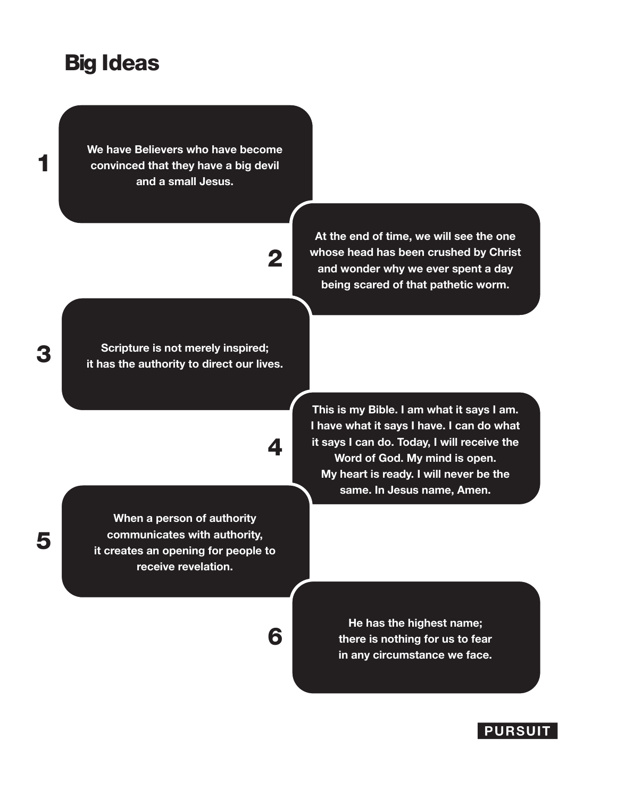### Big Ideas

**We have Believers who have become convinced that they have a big devil and a small Jesus.** 

# 2

**At the end of time, we will see the one whose head has been crushed by Christ and wonder why we ever spent a day being scared of that pathetic worm.**

**Scripture is not merely inspired; it has the authority to direct our lives.**

4

6

**When a person of authority communicates with authority, it creates an opening for people to receive revelation.**

**This is my Bible. I am what it says I am. I have what it says I have. I can do what it says I can do. Today, I will receive the Word of God. My mind is open. My heart is ready. I will never be the same. In Jesus name, Amen.**

> **He has the highest name; there is nothing for us to fear in any circumstance we face.**



5

1